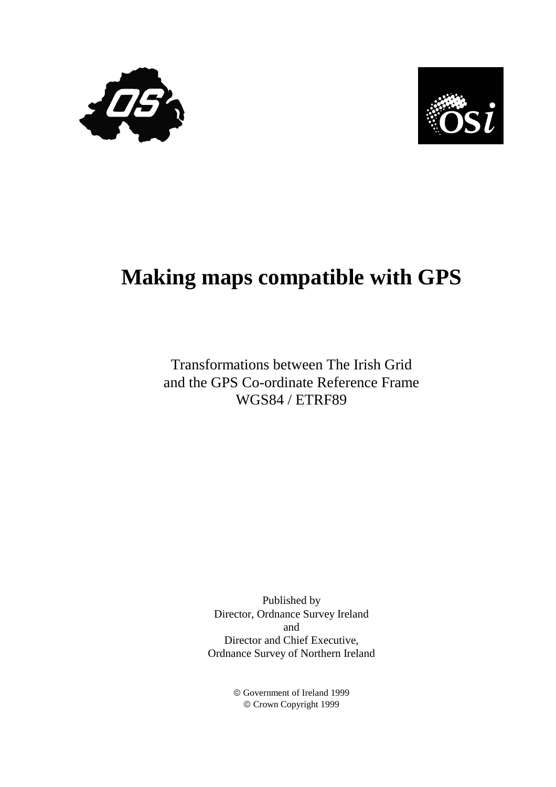



# **Making maps compatible with GPS**

## Transformations between The Irish Grid and the GPS Co-ordinate Reference Frame WGS84 / ETRF89

Published by Director, Ordnance Survey Ireland and Director and Chief Executive, Ordnance Survey of Northern Ireland

> Government of Ireland 1999 Crown Copyright 1999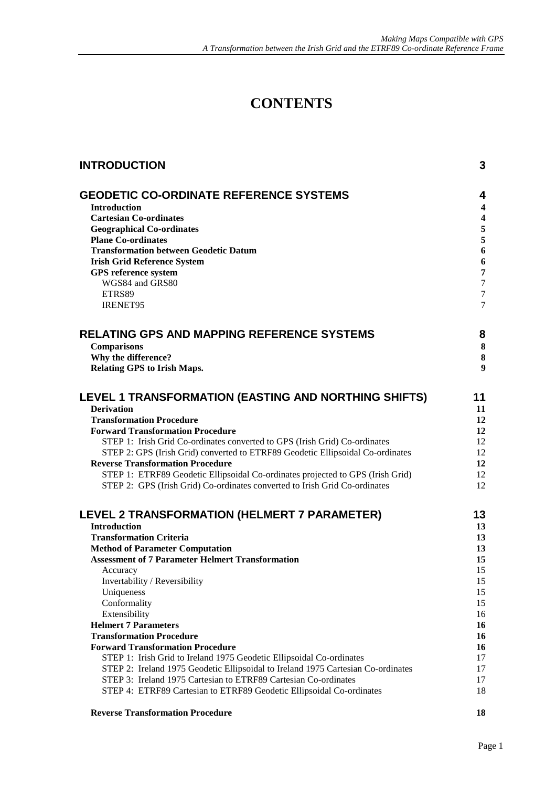# **CONTENTS**

| <b>INTRODUCTION</b>                                                                                                                                 | 3                            |
|-----------------------------------------------------------------------------------------------------------------------------------------------------|------------------------------|
| <b>GEODETIC CO-ORDINATE REFERENCE SYSTEMS</b>                                                                                                       | 4                            |
| <b>Introduction</b>                                                                                                                                 | $\overline{\mathbf{4}}$      |
| <b>Cartesian Co-ordinates</b>                                                                                                                       | $\overline{\mathbf{4}}$      |
| <b>Geographical Co-ordinates</b>                                                                                                                    | $\frac{5}{5}$                |
| <b>Plane Co-ordinates</b>                                                                                                                           | $\boldsymbol{6}$             |
| <b>Transformation between Geodetic Datum</b><br><b>Irish Grid Reference System</b>                                                                  | 6                            |
| GPS reference system                                                                                                                                | $\overline{7}$               |
| WGS84 and GRS80                                                                                                                                     | $\tau$                       |
| ETRS89                                                                                                                                              | $\tau$                       |
| <b>IRENET95</b>                                                                                                                                     | $\overline{7}$               |
| <b>RELATING GPS AND MAPPING REFERENCE SYSTEMS</b>                                                                                                   | 8                            |
| <b>Comparisons</b>                                                                                                                                  | $\bf{8}$                     |
| Why the difference?                                                                                                                                 | $\bf{8}$<br>$\boldsymbol{9}$ |
| Relating GPS to Irish Maps.                                                                                                                         |                              |
| LEVEL 1 TRANSFORMATION (EASTING AND NORTHING SHIFTS)                                                                                                | 11                           |
| <b>Derivation</b>                                                                                                                                   | 11                           |
| <b>Transformation Procedure</b><br><b>Forward Transformation Procedure</b>                                                                          | 12<br>12                     |
| STEP 1: Irish Grid Co-ordinates converted to GPS (Irish Grid) Co-ordinates                                                                          | 12                           |
| STEP 2: GPS (Irish Grid) converted to ETRF89 Geodetic Ellipsoidal Co-ordinates                                                                      | 12                           |
| <b>Reverse Transformation Procedure</b>                                                                                                             | 12                           |
| STEP 1: ETRF89 Geodetic Ellipsoidal Co-ordinates projected to GPS (Irish Grid)                                                                      | 12                           |
| STEP 2: GPS (Irish Grid) Co-ordinates converted to Irish Grid Co-ordinates                                                                          | 12                           |
| LEVEL 2 TRANSFORMATION (HELMERT 7 PARAMETER)                                                                                                        | 13                           |
| <b>Introduction</b>                                                                                                                                 | 13                           |
| <b>Transformation Criteria</b>                                                                                                                      | 13                           |
| <b>Method of Parameter Computation</b>                                                                                                              | 13                           |
| <b>Assessment of 7 Parameter Helmert Transformation</b>                                                                                             | 15<br>15                     |
| Accuracy<br>Invertability / Reversibility                                                                                                           | 15                           |
| Uniqueness                                                                                                                                          | 15                           |
| Conformality                                                                                                                                        | 15                           |
| Extensibility                                                                                                                                       | 16                           |
| <b>Helmert 7 Parameters</b>                                                                                                                         | 16                           |
| <b>Transformation Procedure</b>                                                                                                                     | 16                           |
| <b>Forward Transformation Procedure</b>                                                                                                             | 16                           |
| STEP 1: Irish Grid to Ireland 1975 Geodetic Ellipsoidal Co-ordinates                                                                                | 17                           |
| STEP 2: Ireland 1975 Geodetic Ellipsoidal to Ireland 1975 Cartesian Co-ordinates<br>STEP 3: Ireland 1975 Cartesian to ETRF89 Cartesian Co-ordinates | 17<br>17                     |
| STEP 4: ETRF89 Cartesian to ETRF89 Geodetic Ellipsoidal Co-ordinates                                                                                | 18                           |
|                                                                                                                                                     |                              |

#### **Reverse Transformation Procedure** 18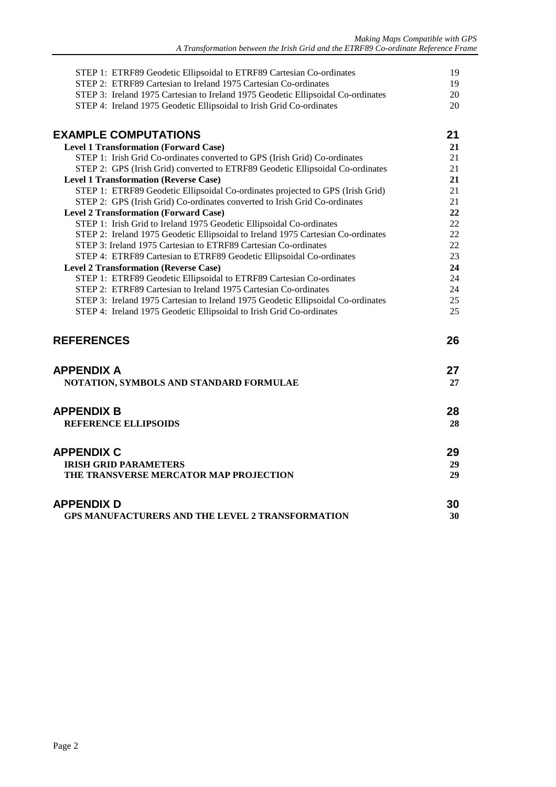| STEP 1: ETRF89 Geodetic Ellipsoidal to ETRF89 Cartesian Co-ordinates             | 19 |
|----------------------------------------------------------------------------------|----|
| STEP 2: ETRF89 Cartesian to Ireland 1975 Cartesian Co-ordinates                  | 19 |
| STEP 3: Ireland 1975 Cartesian to Ireland 1975 Geodetic Ellipsoidal Co-ordinates | 20 |
| STEP 4: Ireland 1975 Geodetic Ellipsoidal to Irish Grid Co-ordinates             | 20 |
| <b>EXAMPLE COMPUTATIONS</b>                                                      | 21 |
| <b>Level 1 Transformation (Forward Case)</b>                                     | 21 |
| STEP 1: Irish Grid Co-ordinates converted to GPS (Irish Grid) Co-ordinates       | 21 |
| STEP 2: GPS (Irish Grid) converted to ETRF89 Geodetic Ellipsoidal Co-ordinates   | 21 |
| <b>Level 1 Transformation (Reverse Case)</b>                                     | 21 |
| STEP 1: ETRF89 Geodetic Ellipsoidal Co-ordinates projected to GPS (Irish Grid)   | 21 |
| STEP 2: GPS (Irish Grid) Co-ordinates converted to Irish Grid Co-ordinates       | 21 |
| <b>Level 2 Transformation (Forward Case)</b>                                     | 22 |
| STEP 1: Irish Grid to Ireland 1975 Geodetic Ellipsoidal Co-ordinates             | 22 |
| STEP 2: Ireland 1975 Geodetic Ellipsoidal to Ireland 1975 Cartesian Co-ordinates | 22 |
| STEP 3: Ireland 1975 Cartesian to ETRF89 Cartesian Co-ordinates                  | 22 |
| STEP 4: ETRF89 Cartesian to ETRF89 Geodetic Ellipsoidal Co-ordinates             | 23 |
| <b>Level 2 Transformation (Reverse Case)</b>                                     | 24 |
| STEP 1: ETRF89 Geodetic Ellipsoidal to ETRF89 Cartesian Co-ordinates             | 24 |
| STEP 2: ETRF89 Cartesian to Ireland 1975 Cartesian Co-ordinates                  | 24 |
| STEP 3: Ireland 1975 Cartesian to Ireland 1975 Geodetic Ellipsoidal Co-ordinates | 25 |
| STEP 4: Ireland 1975 Geodetic Ellipsoidal to Irish Grid Co-ordinates             | 25 |
| <b>REFERENCES</b>                                                                | 26 |
| <b>APPENDIX A</b>                                                                | 27 |
| NOTATION, SYMBOLS AND STANDARD FORMULAE                                          | 27 |
| <b>APPENDIX B</b>                                                                | 28 |
| <b>REFERENCE ELLIPSOIDS</b>                                                      | 28 |
| <b>APPENDIX C</b>                                                                | 29 |
|                                                                                  |    |
| <b>IRISH GRID PARAMETERS</b>                                                     | 29 |
| THE TRANSVERSE MERCATOR MAP PROJECTION                                           | 29 |
| <b>APPENDIX D</b>                                                                | 30 |
| GPS MANUFACTURERS AND THE LEVEL 2 TRANSFORMATION                                 | 30 |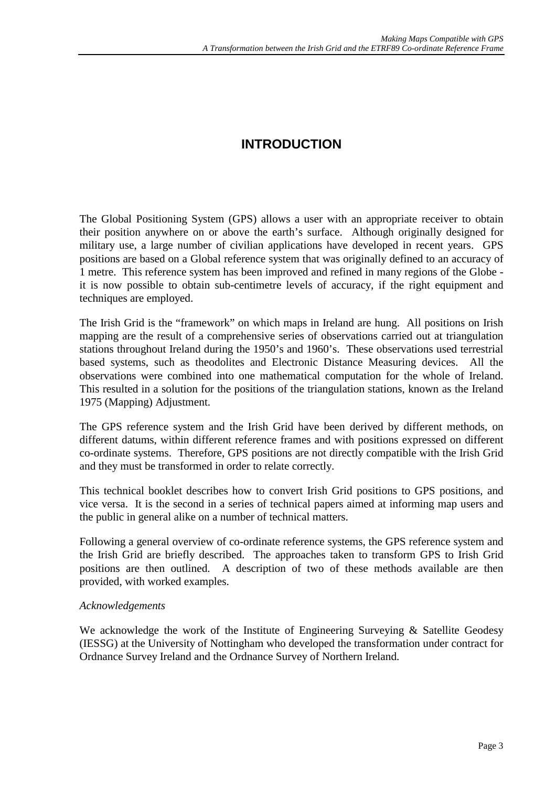## **INTRODUCTION**

<span id="page-4-0"></span>The Global Positioning System (GPS) allows a user with an appropriate receiver to obtain their position anywhere on or above the earth's surface. Although originally designed for military use, a large number of civilian applications have developed in recent years. GPS positions are based on a Global reference system that was originally defined to an accuracy of 1 metre. This reference system has been improved and refined in many regions of the Globe it is now possible to obtain sub-centimetre levels of accuracy, if the right equipment and techniques are employed.

The Irish Grid is the "framework" on which maps in Ireland are hung. All positions on Irish mapping are the result of a comprehensive series of observations carried out at triangulation stations throughout Ireland during the 1950's and 1960's. These observations used terrestrial based systems, such as theodolites and Electronic Distance Measuring devices. All the observations were combined into one mathematical computation for the whole of Ireland. This resulted in a solution for the positions of the triangulation stations, known as the Ireland 1975 (Mapping) Adjustment.

The GPS reference system and the Irish Grid have been derived by different methods, on different datums, within different reference frames and with positions expressed on different co-ordinate systems. Therefore, GPS positions are not directly compatible with the Irish Grid and they must be transformed in order to relate correctly.

This technical booklet describes how to convert Irish Grid positions to GPS positions, and vice versa. It is the second in a series of technical papers aimed at informing map users and the public in general alike on a number of technical matters.

Following a general overview of co-ordinate reference systems, the GPS reference system and the Irish Grid are briefly described. The approaches taken to transform GPS to Irish Grid positions are then outlined. A description of two of these methods available are then provided, with worked examples.

#### *Acknowledgements*

We acknowledge the work of the Institute of Engineering Surveying & Satellite Geodesy (IESSG) at the University of Nottingham who developed the transformation under contract for Ordnance Survey Ireland and the Ordnance Survey of Northern Ireland.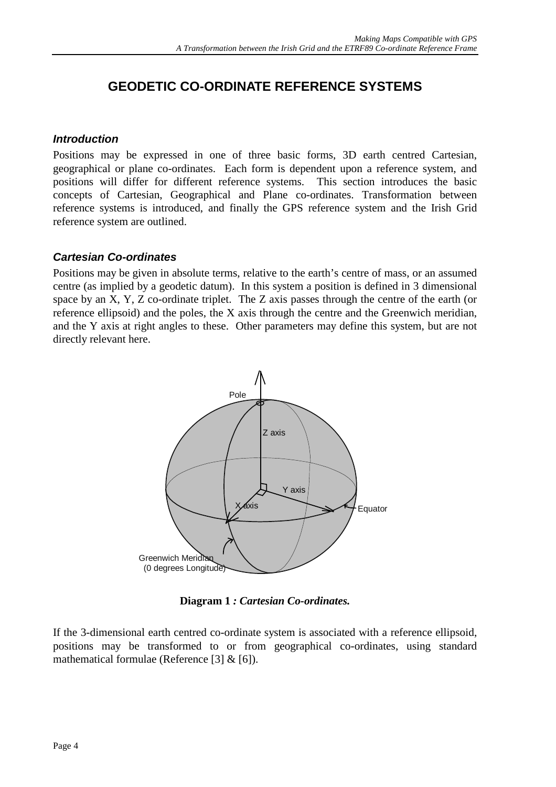## <span id="page-5-0"></span>**GEODETIC CO-ORDINATE REFERENCE SYSTEMS**

#### *Introduction*

Positions may be expressed in one of three basic forms, 3D earth centred Cartesian, geographical or plane co-ordinates. Each form is dependent upon a reference system, and positions will differ for different reference systems. This section introduces the basic concepts of Cartesian, Geographical and Plane co-ordinates. Transformation between reference systems is introduced, and finally the GPS reference system and the Irish Grid reference system are outlined.

#### *Cartesian Co-ordinates*

Positions may be given in absolute terms, relative to the earth's centre of mass, or an assumed centre (as implied by a geodetic datum). In this system a position is defined in 3 dimensional space by an X, Y, Z co-ordinate triplet. The Z axis passes through the centre of the earth (or reference ellipsoid) and the poles, the X axis through the centre and the Greenwich meridian, and the Y axis at right angles to these. Other parameters may define this system, but are not directly relevant here.



**Diagram 1** *: Cartesian Co-ordinates.*

If the 3-dimensional earth centred co-ordinate system is associated with a reference ellipsoid, positions may be transformed to or from geographical co-ordinates, using standard mathematical formulae (Reference [3] & [6]).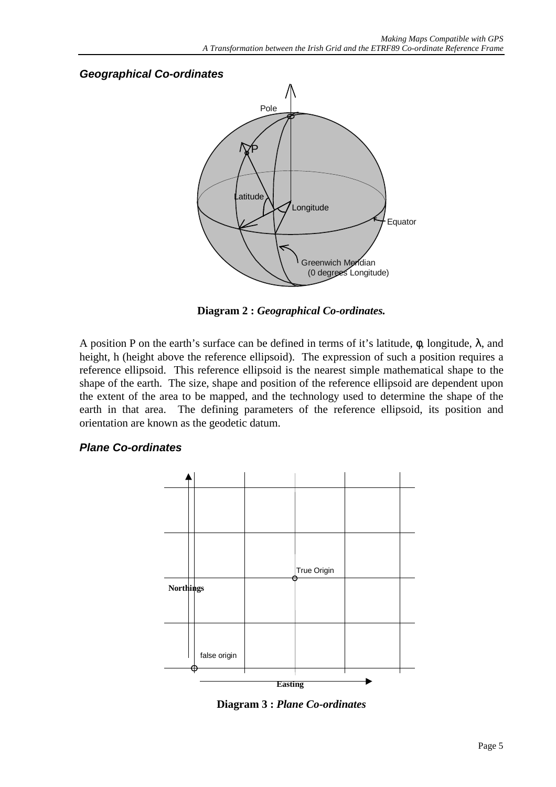# <span id="page-6-0"></span>*Geographical Co-ordinates* Pole Greenwich Meridian (0 degrees Longitude) Equator Latitude Longitude P

**Diagram 2 :** *Geographical Co-ordinates.*

A position P on the earth's surface can be defined in terms of it's latitude,  $\phi$ , longitude,  $\lambda$ , and height, h (height above the reference ellipsoid). The expression of such a position requires a reference ellipsoid. This reference ellipsoid is the nearest simple mathematical shape to the shape of the earth. The size, shape and position of the reference ellipsoid are dependent upon the extent of the area to be mapped, and the technology used to determine the shape of the earth in that area. The defining parameters of the reference ellipsoid, its position and orientation are known as the geodetic datum.

#### *Plane Co-ordinates*



**Diagram 3 :** *Plane Co-ordinates*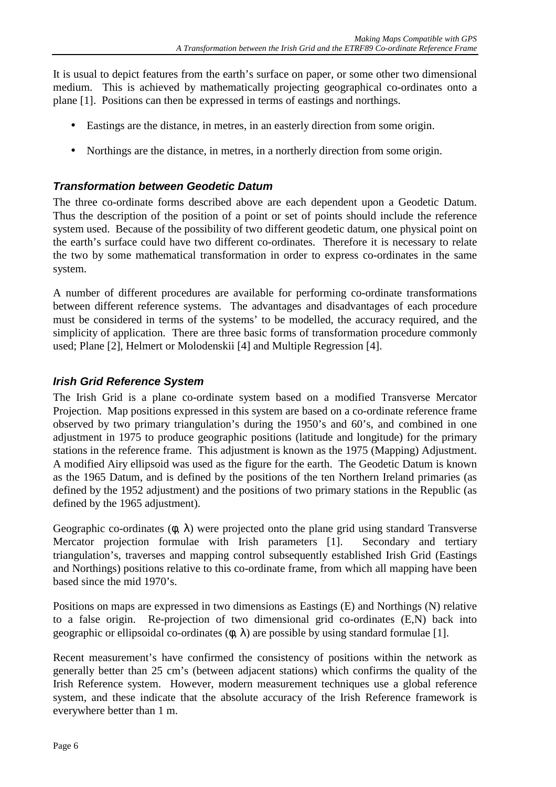<span id="page-7-0"></span>It is usual to depict features from the earth's surface on paper, or some other two dimensional medium. This is achieved by mathematically projecting geographical co-ordinates onto a plane [1]. Positions can then be expressed in terms of eastings and northings.

- Eastings are the distance, in metres, in an easterly direction from some origin.
- Northings are the distance, in metres, in a northerly direction from some origin.

#### *Transformation between Geodetic Datum*

The three co-ordinate forms described above are each dependent upon a Geodetic Datum. Thus the description of the position of a point or set of points should include the reference system used. Because of the possibility of two different geodetic datum, one physical point on the earth's surface could have two different co-ordinates. Therefore it is necessary to relate the two by some mathematical transformation in order to express co-ordinates in the same system.

A number of different procedures are available for performing co-ordinate transformations between different reference systems. The advantages and disadvantages of each procedure must be considered in terms of the systems' to be modelled, the accuracy required, and the simplicity of application. There are three basic forms of transformation procedure commonly used; Plane [2], Helmert or Molodenskii [4] and Multiple Regression [4].

#### *Irish Grid Reference System*

The Irish Grid is a plane co-ordinate system based on a modified Transverse Mercator Projection. Map positions expressed in this system are based on a co-ordinate reference frame observed by two primary triangulation's during the 1950's and 60's, and combined in one adjustment in 1975 to produce geographic positions (latitude and longitude) for the primary stations in the reference frame. This adjustment is known as the 1975 (Mapping) Adjustment. A modified Airy ellipsoid was used as the figure for the earth. The Geodetic Datum is known as the 1965 Datum, and is defined by the positions of the ten Northern Ireland primaries (as defined by the 1952 adjustment) and the positions of two primary stations in the Republic (as defined by the 1965 adjustment).

Geographic co-ordinates  $(\phi, \lambda)$  were projected onto the plane grid using standard Transverse Mercator projection formulae with Irish parameters [1]. Secondary and tertiary triangulation's, traverses and mapping control subsequently established Irish Grid (Eastings and Northings) positions relative to this co-ordinate frame, from which all mapping have been based since the mid 1970's.

Positions on maps are expressed in two dimensions as Eastings (E) and Northings (N) relative to a false origin. Re-projection of two dimensional grid co-ordinates (E,N) back into geographic or ellipsoidal co-ordinates  $(\phi, \lambda)$  are possible by using standard formulae [1].

Recent measurement's have confirmed the consistency of positions within the network as generally better than 25 cm's (between adjacent stations) which confirms the quality of the Irish Reference system. However, modern measurement techniques use a global reference system, and these indicate that the absolute accuracy of the Irish Reference framework is everywhere better than 1 m.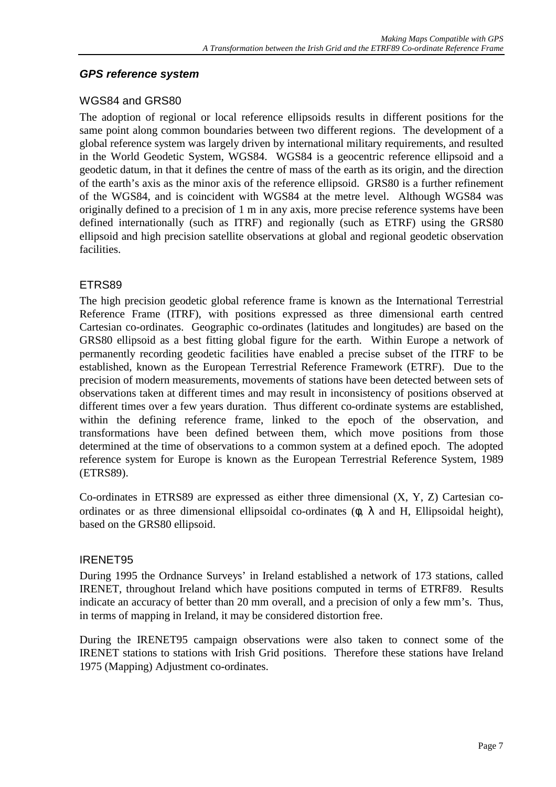#### <span id="page-8-0"></span>*GPS reference system*

#### WGS84 and GRS80

The adoption of regional or local reference ellipsoids results in different positions for the same point along common boundaries between two different regions. The development of a global reference system was largely driven by international military requirements, and resulted in the World Geodetic System, WGS84. WGS84 is a geocentric reference ellipsoid and a geodetic datum, in that it defines the centre of mass of the earth as its origin, and the direction of the earth's axis as the minor axis of the reference ellipsoid. GRS80 is a further refinement of the WGS84, and is coincident with WGS84 at the metre level. Although WGS84 was originally defined to a precision of 1 m in any axis, more precise reference systems have been defined internationally (such as ITRF) and regionally (such as ETRF) using the GRS80 ellipsoid and high precision satellite observations at global and regional geodetic observation facilities.

#### ETRS89

The high precision geodetic global reference frame is known as the International Terrestrial Reference Frame (ITRF), with positions expressed as three dimensional earth centred Cartesian co-ordinates. Geographic co-ordinates (latitudes and longitudes) are based on the GRS80 ellipsoid as a best fitting global figure for the earth. Within Europe a network of permanently recording geodetic facilities have enabled a precise subset of the ITRF to be established, known as the European Terrestrial Reference Framework (ETRF). Due to the precision of modern measurements, movements of stations have been detected between sets of observations taken at different times and may result in inconsistency of positions observed at different times over a few years duration. Thus different co-ordinate systems are established, within the defining reference frame, linked to the epoch of the observation, and transformations have been defined between them, which move positions from those determined at the time of observations to a common system at a defined epoch. The adopted reference system for Europe is known as the European Terrestrial Reference System, 1989 (ETRS89).

Co-ordinates in ETRS89 are expressed as either three dimensional (X, Y, Z) Cartesian coordinates or as three dimensional ellipsoidal co-ordinates ( $\phi$ ,  $\lambda$  and H, Ellipsoidal height), based on the GRS80 ellipsoid.

#### IRENET95

During 1995 the Ordnance Surveys' in Ireland established a network of 173 stations, called IRENET, throughout Ireland which have positions computed in terms of ETRF89. Results indicate an accuracy of better than 20 mm overall, and a precision of only a few mm's. Thus, in terms of mapping in Ireland, it may be considered distortion free.

During the IRENET95 campaign observations were also taken to connect some of the IRENET stations to stations with Irish Grid positions. Therefore these stations have Ireland 1975 (Mapping) Adjustment co-ordinates.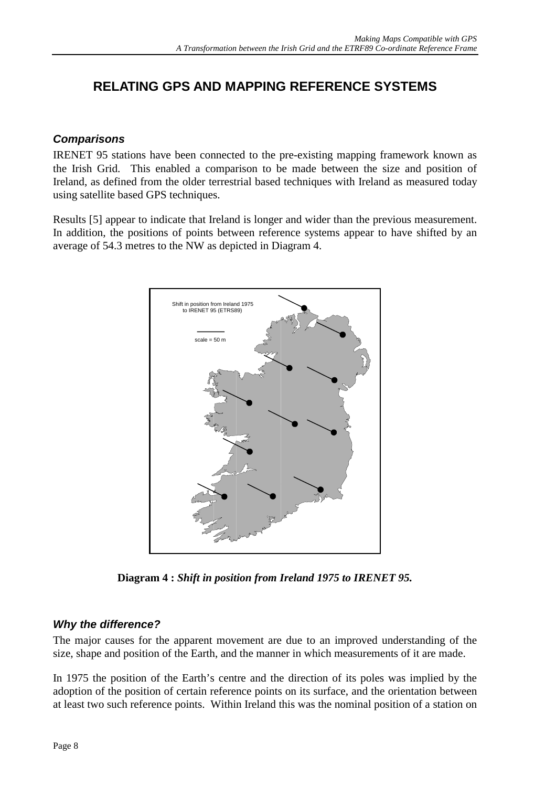## <span id="page-9-0"></span>**RELATING GPS AND MAPPING REFERENCE SYSTEMS**

#### *Comparisons*

IRENET 95 stations have been connected to the pre-existing mapping framework known as the Irish Grid. This enabled a comparison to be made between the size and position of Ireland, as defined from the older terrestrial based techniques with Ireland as measured today using satellite based GPS techniques.

Results [5] appear to indicate that Ireland is longer and wider than the previous measurement. In addition, the positions of points between reference systems appear to have shifted by an average of 54.3 metres to the NW as depicted in Diagram 4.



**Diagram 4 :** *Shift in position from Ireland 1975 to IRENET 95.*

#### *Why the difference?*

The major causes for the apparent movement are due to an improved understanding of the size, shape and position of the Earth, and the manner in which measurements of it are made.

In 1975 the position of the Earth's centre and the direction of its poles was implied by the adoption of the position of certain reference points on its surface, and the orientation between at least two such reference points. Within Ireland this was the nominal position of a station on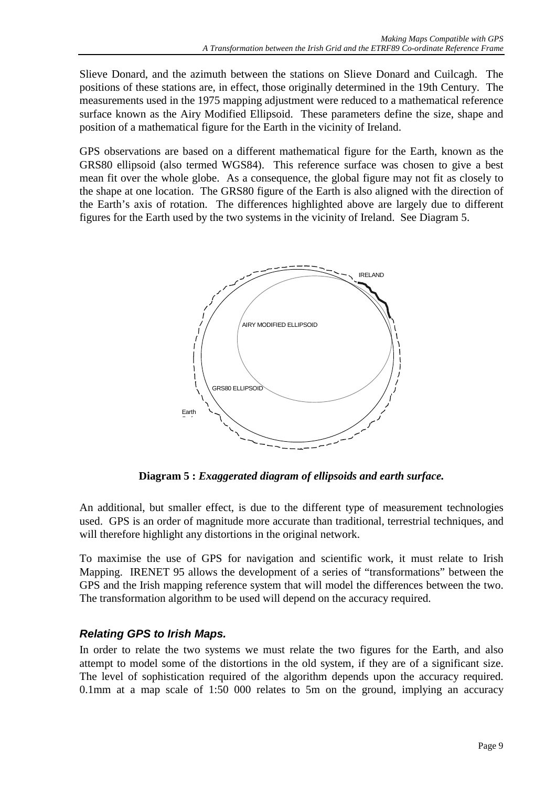<span id="page-10-0"></span>Slieve Donard, and the azimuth between the stations on Slieve Donard and Cuilcagh. The positions of these stations are, in effect, those originally determined in the 19th Century. The measurements used in the 1975 mapping adjustment were reduced to a mathematical reference surface known as the Airy Modified Ellipsoid. These parameters define the size, shape and position of a mathematical figure for the Earth in the vicinity of Ireland.

GPS observations are based on a different mathematical figure for the Earth, known as the GRS80 ellipsoid (also termed WGS84). This reference surface was chosen to give a best mean fit over the whole globe. As a consequence, the global figure may not fit as closely to the shape at one location. The GRS80 figure of the Earth is also aligned with the direction of the Earth's axis of rotation. The differences highlighted above are largely due to different figures for the Earth used by the two systems in the vicinity of Ireland. See Diagram 5.



**Diagram 5 :** *Exaggerated diagram of ellipsoids and earth surface.*

An additional, but smaller effect, is due to the different type of measurement technologies used. GPS is an order of magnitude more accurate than traditional, terrestrial techniques, and will therefore highlight any distortions in the original network.

To maximise the use of GPS for navigation and scientific work, it must relate to Irish Mapping. IRENET 95 allows the development of a series of "transformations" between the GPS and the Irish mapping reference system that will model the differences between the two. The transformation algorithm to be used will depend on the accuracy required.

#### *Relating GPS to Irish Maps.*

In order to relate the two systems we must relate the two figures for the Earth, and also attempt to model some of the distortions in the old system, if they are of a significant size. The level of sophistication required of the algorithm depends upon the accuracy required. 0.1mm at a map scale of 1:50 000 relates to 5m on the ground, implying an accuracy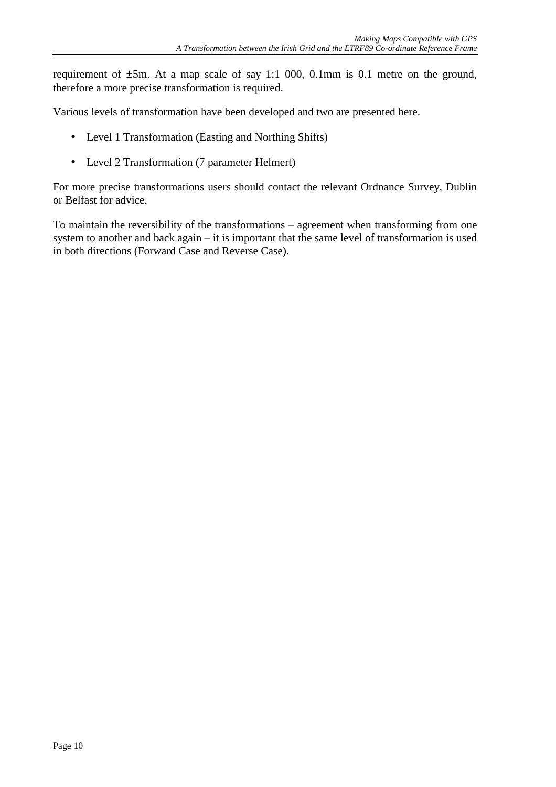requirement of ±5m. At a map scale of say 1:1 000, 0.1mm is 0.1 metre on the ground, therefore a more precise transformation is required.

Various levels of transformation have been developed and two are presented here.

- Level 1 Transformation (Easting and Northing Shifts)
- Level 2 Transformation (7 parameter Helmert)

For more precise transformations users should contact the relevant Ordnance Survey, Dublin or Belfast for advice.

To maintain the reversibility of the transformations – agreement when transforming from one system to another and back again – it is important that the same level of transformation is used in both directions (Forward Case and Reverse Case).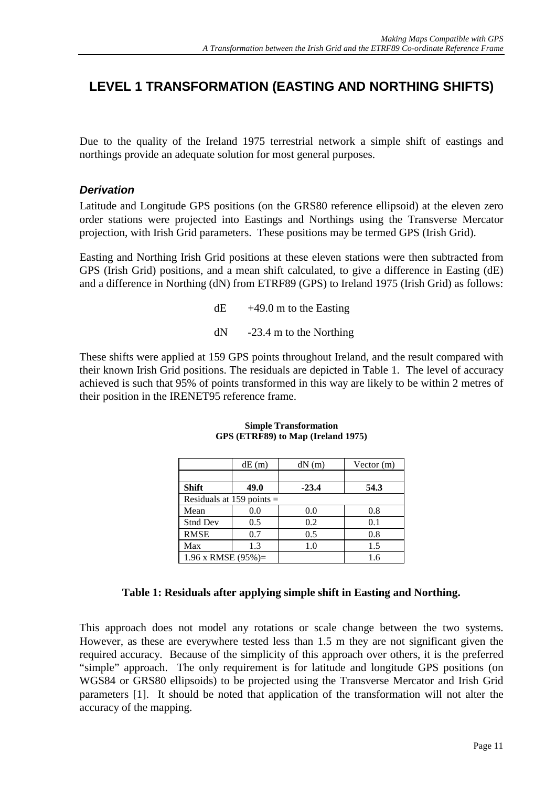## <span id="page-12-0"></span>**LEVEL 1 TRANSFORMATION (EASTING AND NORTHING SHIFTS)**

Due to the quality of the Ireland 1975 terrestrial network a simple shift of eastings and northings provide an adequate solution for most general purposes.

#### *Derivation*

Latitude and Longitude GPS positions (on the GRS80 reference ellipsoid) at the eleven zero order stations were projected into Eastings and Northings using the Transverse Mercator projection, with Irish Grid parameters. These positions may be termed GPS (Irish Grid).

Easting and Northing Irish Grid positions at these eleven stations were then subtracted from GPS (Irish Grid) positions, and a mean shift calculated, to give a difference in Easting (dE) and a difference in Northing (dN) from ETRF89 (GPS) to Ireland 1975 (Irish Grid) as follows:

 $dE$  +49.0 m to the Easting

dN -23.4 m to the Northing

These shifts were applied at 159 GPS points throughout Ireland, and the result compared with their known Irish Grid positions. The residuals are depicted in Table 1. The level of accuracy achieved is such that 95% of points transformed in this way are likely to be within 2 metres of their position in the IRENET95 reference frame.

|                             | dE(m) | dN(m)   | Vector $(m)$ |  |
|-----------------------------|-------|---------|--------------|--|
|                             |       |         |              |  |
| <b>Shift</b>                | 49.0  | $-23.4$ | 54.3         |  |
| Residuals at 159 points $=$ |       |         |              |  |
| Mean                        | 0.0   | 0.0     | 0.8          |  |
| <b>Stnd Dev</b>             | 0.5   | 0.2     | 0.1          |  |
| <b>RMSE</b>                 | 0.7   | 0.5     | 0.8          |  |
| Max                         | 1.3   | 1.0     | 1.5          |  |
| 1.96 x RMSE $(95\%)=$       |       |         | 1.6          |  |

#### **Simple Transformation GPS (ETRF89) to Map (Ireland 1975)**

#### **Table 1: Residuals after applying simple shift in Easting and Northing.**

This approach does not model any rotations or scale change between the two systems. However, as these are everywhere tested less than 1.5 m they are not significant given the required accuracy. Because of the simplicity of this approach over others, it is the preferred "simple" approach. The only requirement is for latitude and longitude GPS positions (on WGS84 or GRS80 ellipsoids) to be projected using the Transverse Mercator and Irish Grid parameters [1]. It should be noted that application of the transformation will not alter the accuracy of the mapping.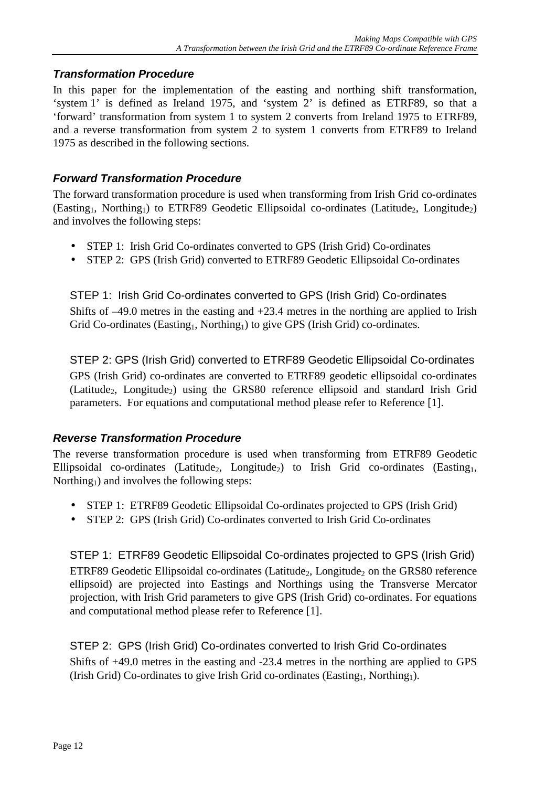#### <span id="page-13-0"></span>*Transformation Procedure*

In this paper for the implementation of the easting and northing shift transformation, 'system 1' is defined as Ireland 1975, and 'system 2' is defined as ETRF89, so that a 'forward' transformation from system 1 to system 2 converts from Ireland 1975 to ETRF89, and a reverse transformation from system 2 to system 1 converts from ETRF89 to Ireland 1975 as described in the following sections.

#### *Forward Transformation Procedure*

The forward transformation procedure is used when transforming from Irish Grid co-ordinates  $(Easting<sub>1</sub>, Northing<sub>1</sub>)$  to ETRF89 Geodetic Ellipsoidal co-ordinates (Latitude<sub>2</sub>, Longitude<sub>2</sub>) and involves the following steps:

- STEP 1: Irish Grid Co-ordinates converted to GPS (Irish Grid) Co-ordinates
- STEP 2: GPS (Irish Grid) converted to ETRF89 Geodetic Ellipsoidal Co-ordinates

STEP 1: Irish Grid Co-ordinates converted to GPS (Irish Grid) Co-ordinates Shifts of –49.0 metres in the easting and +23.4 metres in the northing are applied to Irish Grid Co-ordinates (Easting<sub>1</sub>, Northing<sub>1</sub>) to give GPS (Irish Grid) co-ordinates.

STEP 2: GPS (Irish Grid) converted to ETRF89 Geodetic Ellipsoidal Co-ordinates GPS (Irish Grid) co-ordinates are converted to ETRF89 geodetic ellipsoidal co-ordinates (Latitude<sub>2</sub>, Longitude<sub>2</sub>) using the GRS80 reference ellipsoid and standard Irish Grid parameters. For equations and computational method please refer to Reference [1].

#### *Reverse Transformation Procedure*

The reverse transformation procedure is used when transforming from ETRF89 Geodetic Ellipsoidal co-ordinates (Latitude<sub>2</sub>, Longitude<sub>2</sub>) to Irish Grid co-ordinates (Easting<sub>1</sub>, Northing<sub>1</sub>) and involves the following steps:

- STEP 1: ETRF89 Geodetic Ellipsoidal Co-ordinates projected to GPS (Irish Grid)
- STEP 2: GPS (Irish Grid) Co-ordinates converted to Irish Grid Co-ordinates

STEP 1: ETRF89 Geodetic Ellipsoidal Co-ordinates projected to GPS (Irish Grid) ETRF89 Geodetic Ellipsoidal co-ordinates (Latitude<sub>2</sub>, Longitude<sub>2</sub> on the GRS80 reference ellipsoid) are projected into Eastings and Northings using the Transverse Mercator projection, with Irish Grid parameters to give GPS (Irish Grid) co-ordinates. For equations and computational method please refer to Reference [1].

STEP 2: GPS (Irish Grid) Co-ordinates converted to Irish Grid Co-ordinates Shifts of +49.0 metres in the easting and -23.4 metres in the northing are applied to GPS (Irish Grid) Co-ordinates to give Irish Grid co-ordinates (Easting<sub>1</sub>, Northing<sub>1</sub>).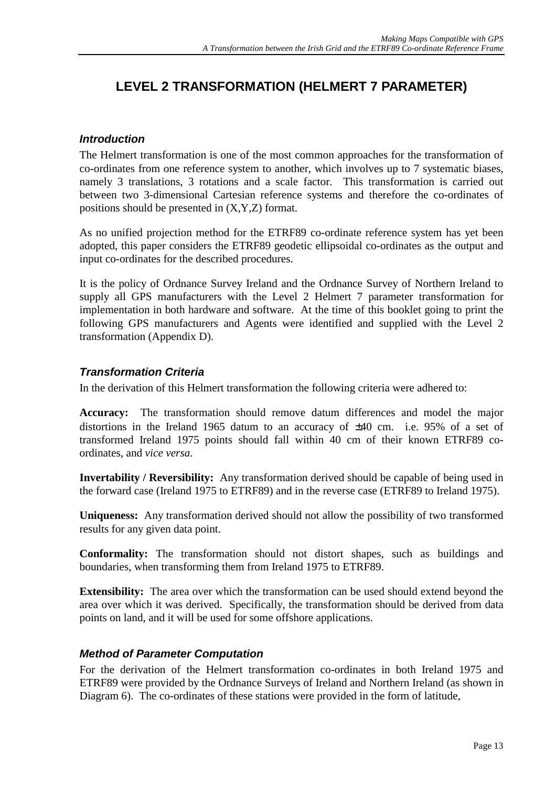## <span id="page-14-0"></span>**LEVEL 2 TRANSFORMATION (HELMERT 7 PARAMETER)**

#### *Introduction*

The Helmert transformation is one of the most common approaches for the transformation of co-ordinates from one reference system to another, which involves up to 7 systematic biases, namely 3 translations, 3 rotations and a scale factor. This transformation is carried out between two 3-dimensional Cartesian reference systems and therefore the co-ordinates of positions should be presented in (X,Y,Z) format.

As no unified projection method for the ETRF89 co-ordinate reference system has yet been adopted, this paper considers the ETRF89 geodetic ellipsoidal co-ordinates as the output and input co-ordinates for the described procedures.

It is the policy of Ordnance Survey Ireland and the Ordnance Survey of Northern Ireland to supply all GPS manufacturers with the Level 2 Helmert 7 parameter transformation for implementation in both hardware and software. At the time of this booklet going to print the following GPS manufacturers and Agents were identified and supplied with the Level 2 transformation (Appendix D).

#### *Transformation Criteria*

In the derivation of this Helmert transformation the following criteria were adhered to:

**Accuracy:** The transformation should remove datum differences and model the major distortions in the Ireland 1965 datum to an accuracy of ±40 cm. i.e. 95% of a set of transformed Ireland 1975 points should fall within 40 cm of their known ETRF89 coordinates, and *vice versa*.

**Invertability / Reversibility:** Any transformation derived should be capable of being used in the forward case (Ireland 1975 to ETRF89) and in the reverse case (ETRF89 to Ireland 1975).

**Uniqueness:** Any transformation derived should not allow the possibility of two transformed results for any given data point.

**Conformality:** The transformation should not distort shapes, such as buildings and boundaries, when transforming them from Ireland 1975 to ETRF89.

**Extensibility:** The area over which the transformation can be used should extend beyond the area over which it was derived. Specifically, the transformation should be derived from data points on land, and it will be used for some offshore applications.

#### *Method of Parameter Computation*

For the derivation of the Helmert transformation co-ordinates in both Ireland 1975 and ETRF89 were provided by the Ordnance Surveys of Ireland and Northern Ireland (as shown in Diagram 6). The co-ordinates of these stations were provided in the form of latitude,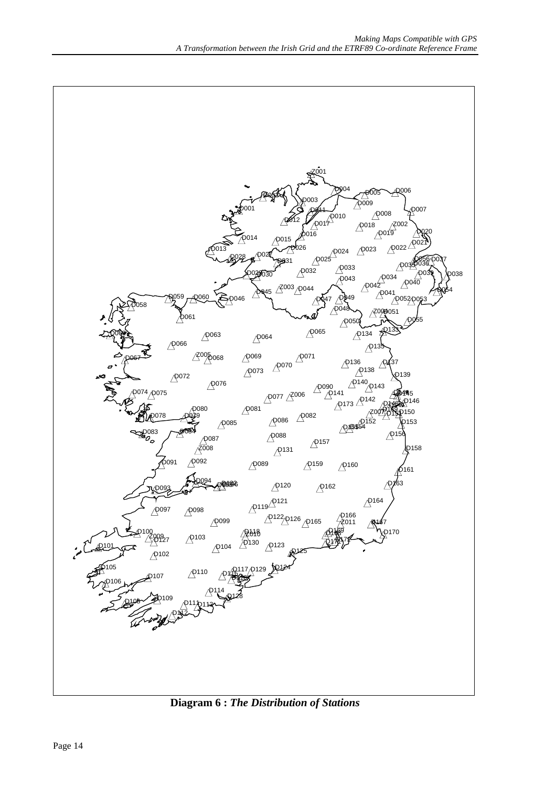

**Diagram 6 :** *The Distribution of Stations*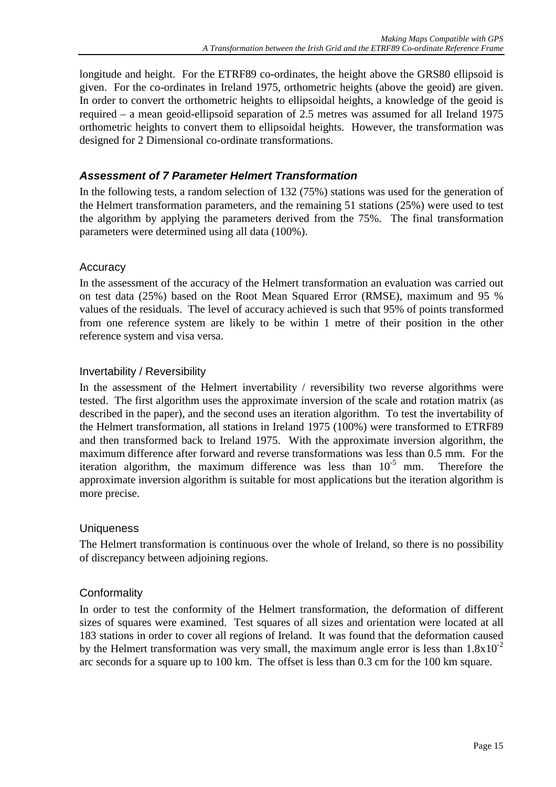<span id="page-16-0"></span>longitude and height. For the ETRF89 co-ordinates, the height above the GRS80 ellipsoid is given. For the co-ordinates in Ireland 1975, orthometric heights (above the geoid) are given. In order to convert the orthometric heights to ellipsoidal heights, a knowledge of the geoid is required – a mean geoid-ellipsoid separation of 2.5 metres was assumed for all Ireland 1975 orthometric heights to convert them to ellipsoidal heights. However, the transformation was designed for 2 Dimensional co-ordinate transformations.

#### *Assessment of 7 Parameter Helmert Transformation*

In the following tests, a random selection of 132 (75%) stations was used for the generation of the Helmert transformation parameters, and the remaining 51 stations (25%) were used to test the algorithm by applying the parameters derived from the 75%. The final transformation parameters were determined using all data (100%).

#### **Accuracy**

In the assessment of the accuracy of the Helmert transformation an evaluation was carried out on test data (25%) based on the Root Mean Squared Error (RMSE), maximum and 95 % values of the residuals. The level of accuracy achieved is such that 95% of points transformed from one reference system are likely to be within 1 metre of their position in the other reference system and visa versa.

#### Invertability / Reversibility

In the assessment of the Helmert invertability / reversibility two reverse algorithms were tested. The first algorithm uses the approximate inversion of the scale and rotation matrix (as described in the paper), and the second uses an iteration algorithm. To test the invertability of the Helmert transformation, all stations in Ireland 1975 (100%) were transformed to ETRF89 and then transformed back to Ireland 1975. With the approximate inversion algorithm, the maximum difference after forward and reverse transformations was less than 0.5 mm. For the iteration algorithm, the maximum difference was less than  $10^{-5}$  mm. Therefore the approximate inversion algorithm is suitable for most applications but the iteration algorithm is more precise.

#### **Uniqueness**

The Helmert transformation is continuous over the whole of Ireland, so there is no possibility of discrepancy between adjoining regions.

#### **Conformality**

In order to test the conformity of the Helmert transformation, the deformation of different sizes of squares were examined. Test squares of all sizes and orientation were located at all 183 stations in order to cover all regions of Ireland. It was found that the deformation caused by the Helmert transformation was very small, the maximum angle error is less than  $1.8x10^{-2}$ arc seconds for a square up to 100 km. The offset is less than 0.3 cm for the 100 km square.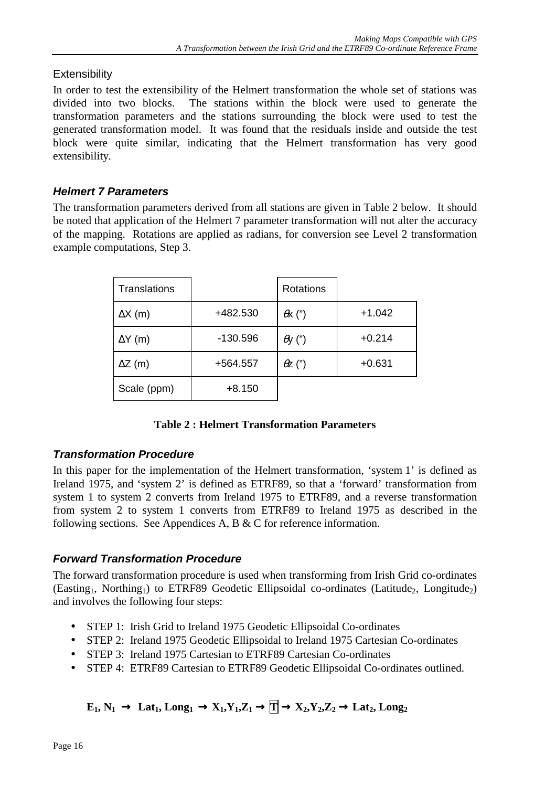#### <span id="page-17-0"></span>**Extensibility**

In order to test the extensibility of the Helmert transformation the whole set of stations was divided into two blocks. The stations within the block were used to generate the transformation parameters and the stations surrounding the block were used to test the generated transformation model. It was found that the residuals inside and outside the test block were quite similar, indicating that the Helmert transformation has very good extensibility.

### *Helmert 7 Parameters*

The transformation parameters derived from all stations are given in Table 2 below. It should be noted that application of the Helmert 7 parameter transformation will not alter the accuracy of the mapping. Rotations are applied as radians, for conversion see Level 2 transformation example computations, Step 3.

| Translations   |          | Rotations      |          |
|----------------|----------|----------------|----------|
| $\Delta X$ (m) | +482.530 | $\theta$ x (") | $+1.042$ |
| $\Delta Y$ (m) | -130.596 | $\theta$ y (") | $+0.214$ |
| $\Delta Z$ (m) | +564.557 | $\theta$ z (") | $+0.631$ |
| Scale (ppm)    | $+8.150$ |                |          |

#### **Table 2 : Helmert Transformation Parameters**

#### *Transformation Procedure*

In this paper for the implementation of the Helmert transformation, 'system 1' is defined as Ireland 1975, and 'system 2' is defined as ETRF89, so that a 'forward' transformation from system 1 to system 2 converts from Ireland 1975 to ETRF89, and a reverse transformation from system 2 to system 1 converts from ETRF89 to Ireland 1975 as described in the following sections. See Appendices A, B & C for reference information.

#### *Forward Transformation Procedure*

The forward transformation procedure is used when transforming from Irish Grid co-ordinates  $(Easting<sub>1</sub>, Northing<sub>1</sub>)$  to ETRF89 Geodetic Ellipsoidal co-ordinates (Latitude<sub>2</sub>, Longitude<sub>2</sub>) and involves the following four steps:

- STEP 1: Irish Grid to Ireland 1975 Geodetic Ellipsoidal Co-ordinates
- STEP 2: Ireland 1975 Geodetic Ellipsoidal to Ireland 1975 Cartesian Co-ordinates
- STEP 3: Ireland 1975 Cartesian to ETRF89 Cartesian Co-ordinates
- STEP 4: ETRF89 Cartesian to ETRF89 Geodetic Ellipsoidal Co-ordinates outlined.

## $E_1, N_1 \rightarrow \text{Lat}_1, \text{Long}_1 \rightarrow X_1, Y_1, Z_1 \rightarrow \boxed{\Gamma} \rightarrow X_2, Y_2, Z_2 \rightarrow \text{Lat}_2, \text{Long}_2$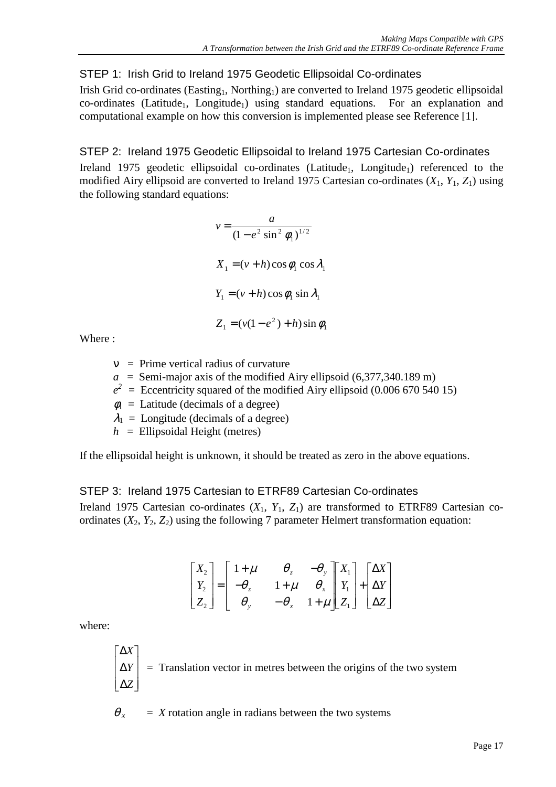#### <span id="page-18-0"></span>STEP 1: Irish Grid to Ireland 1975 Geodetic Ellipsoidal Co-ordinates

Irish Grid co-ordinates (Easting<sub>1</sub>, Northing<sub>1</sub>) are converted to Ireland 1975 geodetic ellipsoidal  $co-ordinates$  (Latitude<sub>1</sub>, Longitude<sub>1</sub>) using standard equations. For an explanation and computational example on how this conversion is implemented please see Reference [1].

#### STEP 2: Ireland 1975 Geodetic Ellipsoidal to Ireland 1975 Cartesian Co-ordinates

Ireland 1975 geodetic ellipsoidal co-ordinates (Latitude<sub>1</sub>, Longitude<sub>1</sub>) referenced to the modified Airy ellipsoid are converted to Ireland 1975 Cartesian co-ordinates (*X*1, *Y*1, *Z*1) using the following standard equations:

$$
v = \frac{a}{(1 - e^2 \sin^2 \phi_1)^{1/2}}
$$
  
\n
$$
X_1 = (v + h) \cos \phi_1 \cos \lambda_1
$$
  
\n
$$
Y_1 = (v + h) \cos \phi_1 \sin \lambda_1
$$
  
\n
$$
Z_1 = (v(1 - e^2) + h) \sin \phi_1
$$

Where :

ν= Prime vertical radius of curvature

- $a =$  Semi-major axis of the modified Airy ellipsoid (6,377,340.189 m)
- $e^2$  = Eccentricity squared of the modified Airy ellipsoid (0.006 670 540 15)
- $\phi_1$  = Latitude (decimals of a degree)

 $\lambda_1$  = Longitude (decimals of a degree)

 $h =$  Ellipsoidal Height (metres)

If the ellipsoidal height is unknown, it should be treated as zero in the above equations.

#### STEP 3: Ireland 1975 Cartesian to ETRF89 Cartesian Co-ordinates

Ireland 1975 Cartesian co-ordinates  $(X_1, Y_1, Z_1)$  are transformed to ETRF89 Cartesian coordinates  $(X_2, Y_2, Z_2)$  using the following 7 parameter Helmert transformation equation:

$$
\begin{bmatrix} X_2 \\ Y_2 \\ Z_2 \end{bmatrix} = \begin{bmatrix} 1+\mu & \theta_z & -\theta_y \\ -\theta_z & 1+\mu & \theta_x \\ \theta_y & -\theta_x & 1+\mu \end{bmatrix} \begin{bmatrix} X_1 \\ Y_1 \\ Z_1 \end{bmatrix} + \begin{bmatrix} \Delta X \\ \Delta Y \\ \Delta Z \end{bmatrix}
$$

where:

$$
\begin{bmatrix} \Delta X \\ \Delta Y \\ \Delta Z \end{bmatrix}
$$
 = Translation vector in metres between the origins of the two system

 $\theta$ <sub>x</sub> = *X* rotation angle in radians between the two systems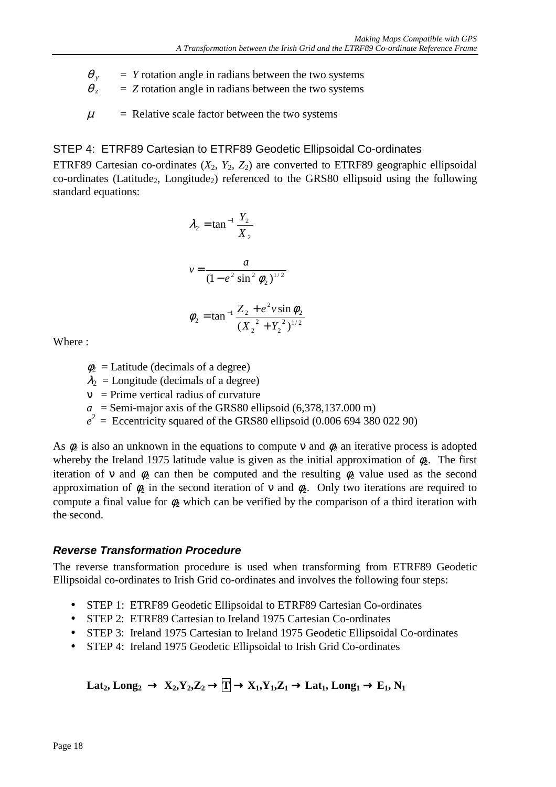- <span id="page-19-0"></span> $\theta$ <sub>y</sub> = *Y* rotation angle in radians between the two systems
- $\theta$ <sub>z</sub> = *Z* rotation angle in radians between the two systems
- $\mu$  = Relative scale factor between the two systems

#### STEP 4: ETRF89 Cartesian to ETRF89 Geodetic Ellipsoidal Co-ordinates

ETRF89 Cartesian co-ordinates  $(X_2, Y_2, Z_2)$  are converted to ETRF89 geographic ellipsoidal  $co-ordinates$  (Latitude<sub>2</sub>, Longitude<sub>2</sub>) referenced to the GRS80 ellipsoid using the following standard equations:

$$
\lambda_2 = \tan^{-1} \frac{Y_2}{X_2}
$$
  

$$
v = \frac{a}{(1 - e^2 \sin^2 \phi_2)^{1/2}}
$$
  

$$
\phi_2 = \tan^{-1} \frac{Z_2 + e^2 v \sin \phi_2}{(X_2^2 + Y_2^2)^{1/2}}
$$

Where :

- $\phi_2$  = Latitude (decimals of a degree)
- $\lambda_2$  = Longitude (decimals of a degree)
- $v =$  Prime vertical radius of curvature
- $a =$  Semi-major axis of the GRS80 ellipsoid (6,378,137.000 m)
- $e^2$  = Eccentricity squared of the GRS80 ellipsoid (0.006 694 380 022 90)

As  $\phi_2$  is also an unknown in the equations to compute v and  $\phi_2$  an iterative process is adopted whereby the Ireland 1975 latitude value is given as the initial approximation of  $\phi$ . The first iteration of v and  $\phi_2$  can then be computed and the resulting  $\phi_2$  value used as the second approximation of  $\phi_2$  in the second iteration of v and  $\phi_2$ . Only two iterations are required to compute a final value for  $\phi_2$  which can be verified by the comparison of a third iteration with the second.

#### *Reverse Transformation Procedure*

The reverse transformation procedure is used when transforming from ETRF89 Geodetic Ellipsoidal co-ordinates to Irish Grid co-ordinates and involves the following four steps:

- STEP 1: ETRF89 Geodetic Ellipsoidal to ETRF89 Cartesian Co-ordinates
- STEP 2: ETRF89 Cartesian to Ireland 1975 Cartesian Co-ordinates
- STEP 3: Ireland 1975 Cartesian to Ireland 1975 Geodetic Ellipsoidal Co-ordinates
- STEP 4: Ireland 1975 Geodetic Ellipsoidal to Irish Grid Co-ordinates

 $\text{Lat}_2, \text{Long}_2 \rightarrow \text{X}_2, \text{Y}_2, \text{Z}_2 \rightarrow \text{T} \rightarrow \text{X}_1, \text{Y}_1, \text{Z}_1 \rightarrow \text{Lat}_1, \text{Long}_1 \rightarrow \text{E}_1, \text{N}_1$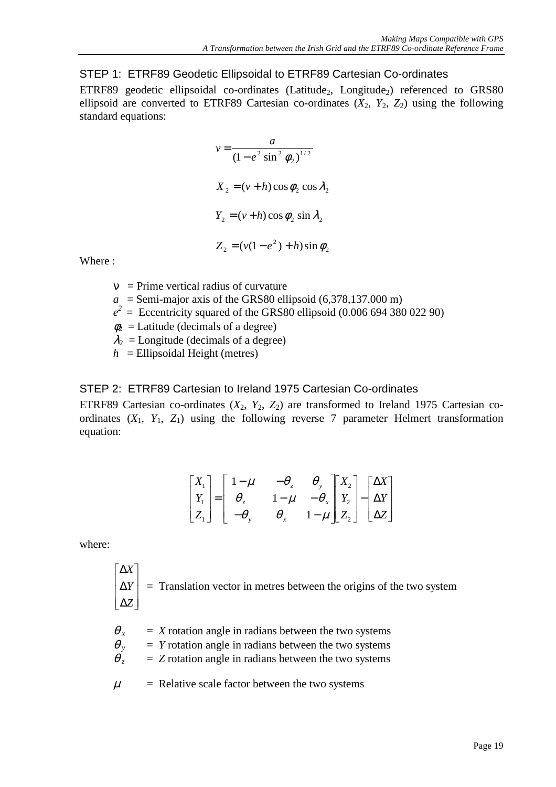<span id="page-20-0"></span>STEP 1: ETRF89 Geodetic Ellipsoidal to ETRF89 Cartesian Co-ordinates

ETRF89 geodetic ellipsoidal co-ordinates (Latitude<sub>2</sub>, Longitude<sub>2</sub>) referenced to GRS80 ellipsoid are converted to ETRF89 Cartesian co-ordinates  $(X_2, Y_2, Z_2)$  using the following standard equations:

$$
v = \frac{a}{(1 - e^2 \sin^2 \phi_2)^{1/2}}
$$
  
\n
$$
X_2 = (v + h) \cos \phi_2 \cos \lambda_2
$$
  
\n
$$
Y_2 = (v + h) \cos \phi_2 \sin \lambda_2
$$
  
\n
$$
Z_2 = (v(1 - e^2) + h) \sin \phi_2
$$

Where :

- $v = Prime vertical radius of curvature$
- $a =$  Semi-major axis of the GRS80 ellipsoid (6,378,137.000 m)
- $e^2$  = Eccentricity squared of the GRS80 ellipsoid (0.006 694 380 022 90)
- $\phi_2$  = Latitude (decimals of a degree)
- $\lambda_2$  = Longitude (decimals of a degree)
- $h$  = Ellipsoidal Height (metres)

#### STEP 2: ETRF89 Cartesian to Ireland 1975 Cartesian Co-ordinates

ETRF89 Cartesian co-ordinates  $(X_2, Y_2, Z_2)$  are transformed to Ireland 1975 Cartesian coordinates  $(X_1, Y_1, Z_1)$  using the following reverse 7 parameter Helmert transformation equation:

$$
\begin{bmatrix} X_1 \\ Y_1 \\ Z_1 \end{bmatrix} = \begin{bmatrix} 1 - \mu & -\theta_z & \theta_y \\ \theta_z & 1 - \mu & -\theta_x \\ -\theta_y & \theta_x & 1 - \mu \end{bmatrix} \begin{bmatrix} X_2 \\ Y_2 \\ Z_2 \end{bmatrix} - \begin{bmatrix} \Delta X \\ \Delta Y \\ \Delta Z \end{bmatrix}
$$

where:

$$
\begin{bmatrix} \Delta X \\ \Delta Y \\ \Delta Z \end{bmatrix}
$$
 = Translation vector in metres between the origins of the two system

- $\theta_x$  = *X* rotation angle in radians between the two systems
- $\theta$ <sub>y</sub> = *Y* rotation angle in radians between the two systems
- $\theta$ <sub>z</sub> = *Z* rotation angle in radians between the two systems
- $\mu$  = Relative scale factor between the two systems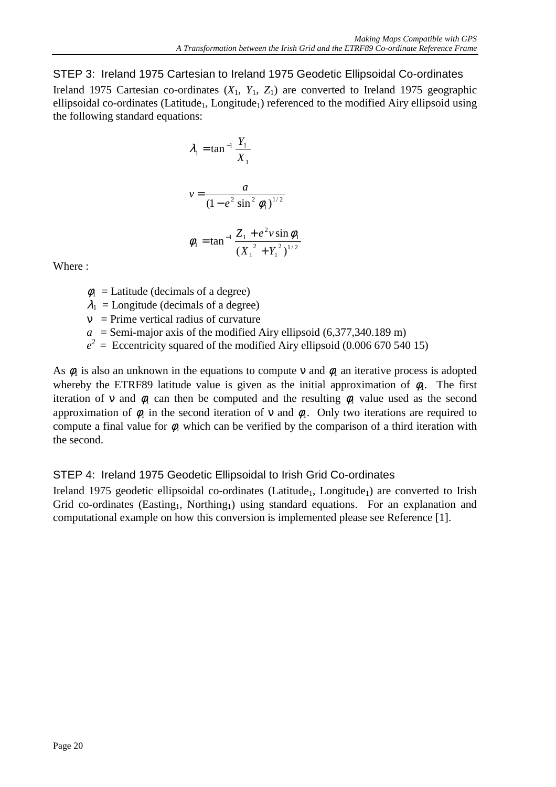<span id="page-21-0"></span>STEP 3: Ireland 1975 Cartesian to Ireland 1975 Geodetic Ellipsoidal Co-ordinates Ireland 1975 Cartesian co-ordinates  $(X_1, Y_1, Z_1)$  are converted to Ireland 1975 geographic ellipsoidal co-ordinates (Latitude<sub>1</sub>, Longitude<sub>1</sub>) referenced to the modified Airy ellipsoid using the following standard equations:

$$
\lambda_1 = \tan^{-1} \frac{Y_1}{X_1}
$$
  

$$
v = \frac{a}{(1 - e^2 \sin^2 \phi_1)^{1/2}}
$$
  

$$
\phi_1 = \tan^{-1} \frac{Z_1 + e^2 v \sin \phi_1}{(X_1^2 + Y_1^2)^{1/2}}
$$

Where :

- $\phi_1$  = Latitude (decimals of a degree)
- $\lambda_1$  = Longitude (decimals of a degree)
- $v =$  Prime vertical radius of curvature
- $a =$  Semi-major axis of the modified Airy ellipsoid (6,377,340.189 m)
- $e^2$  = Eccentricity squared of the modified Airy ellipsoid (0.006 670 540 15)

As  $\phi_1$  is also an unknown in the equations to compute v and  $\phi_1$  an iterative process is adopted whereby the ETRF89 latitude value is given as the initial approximation of  $\phi_1$ . The first iteration of v and  $\phi_1$  can then be computed and the resulting  $\phi_1$  value used as the second approximation of  $\phi_1$  in the second iteration of v and  $\phi_1$ . Only two iterations are required to compute a final value for  $\phi_1$  which can be verified by the comparison of a third iteration with the second.

### STEP 4: Ireland 1975 Geodetic Ellipsoidal to Irish Grid Co-ordinates

Ireland 1975 geodetic ellipsoidal co-ordinates (Latitude<sub>1</sub>, Longitude<sub>1</sub>) are converted to Irish Grid co-ordinates (Easting<sub>1</sub>, Northing<sub>1</sub>) using standard equations. For an explanation and computational example on how this conversion is implemented please see Reference [1].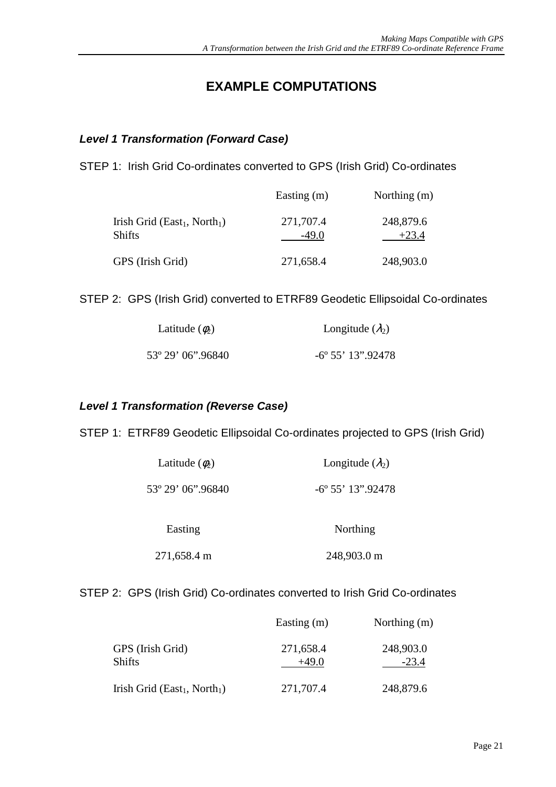## **EXAMPLE COMPUTATIONS**

#### <span id="page-22-0"></span>*Level 1 Transformation (Forward Case)*

STEP 1: Irish Grid Co-ordinates converted to GPS (Irish Grid) Co-ordinates

|                                                                | Easting $(m)$        | Northing (m)         |
|----------------------------------------------------------------|----------------------|----------------------|
| Irish Grid (East <sub>1</sub> , North <sub>1</sub> )<br>Shifts | 271,707.4<br>$-49.0$ | 248,879.6<br>$+23.4$ |
| GPS (Irish Grid)                                               | 271,658.4            | 248,903.0            |

STEP 2: GPS (Irish Grid) converted to ETRF89 Geodetic Ellipsoidal Co-ordinates

| Latitude $(\phi_2)$ | Longitude $(\lambda_2)$     |
|---------------------|-----------------------------|
| 53° 29' 06".96840   | $-6^{\circ} 55' 13''.92478$ |

#### *Level 1 Transformation (Reverse Case)*

STEP 1: ETRF89 Geodetic Ellipsoidal Co-ordinates projected to GPS (Irish Grid)

| Latitude $(\phi_2)$ | Longitude $(\lambda_2)$  |
|---------------------|--------------------------|
| 53° 29' 06".96840   | $-6^{\circ}55'13''92478$ |
| Easting             | Northing                 |

271,658.4 m 248,903.0 m

#### STEP 2: GPS (Irish Grid) Co-ordinates converted to Irish Grid Co-ordinates

|                                                      | Easting $(m)$        | Northing (m)         |
|------------------------------------------------------|----------------------|----------------------|
| GPS (Irish Grid)<br><b>Shifts</b>                    | 271,658.4<br>$+49.0$ | 248,903.0<br>$-23.4$ |
| Irish Grid (East <sub>1</sub> , North <sub>1</sub> ) | 271,707.4            | 248,879.6            |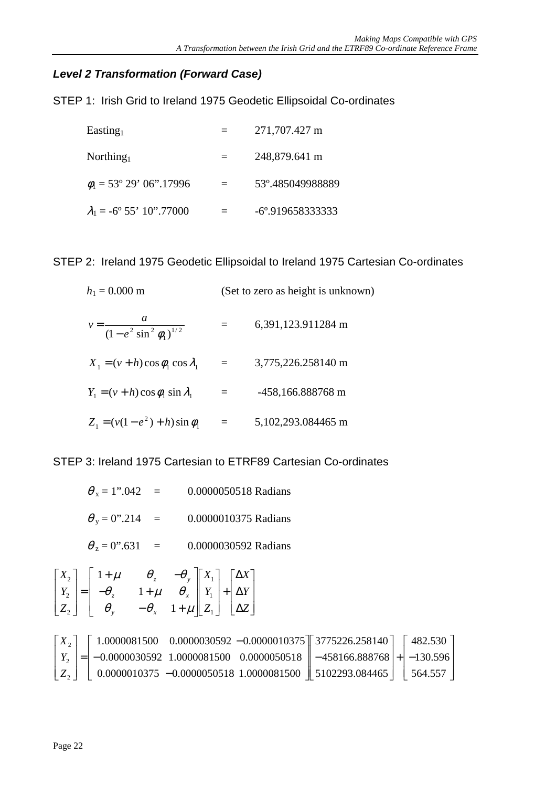### <span id="page-23-0"></span>*Level 2 Transformation (Forward Case)*

STEP 1: Irish Grid to Ireland 1975 Geodetic Ellipsoidal Co-ordinates

| Easting                                 | $=$ | 271,707.427 m               |
|-----------------------------------------|-----|-----------------------------|
| Northing                                |     | 248,879.641 m               |
| $\phi_1 = 53^{\circ} 29' 06''.17996$    | $=$ | 53°.485049988889            |
| $\lambda_1 = -6^{\circ} 55' 10''.77000$ |     | $-6^{\circ}$ .9196583333333 |

STEP 2: Ireland 1975 Geodetic Ellipsoidal to Ireland 1975 Cartesian Co-ordinates

 $h_1 = 0.000$  m (Set to zero as height is unknown) 1/ 2  $(1 - e^2 \sin^2 \phi_1)$  $v = \frac{a}{(1 - e^2 \sin^2 \phi_1)^{1/2}}$  = 6,391,123.911284 m  $X_1 = (v + h)\cos\phi_1\cos\lambda_1 = 3,775,226.258140 \text{ m}$  $Y_1 = (v + h)\cos\phi_1 \sin\lambda_1 = -458,166.888768 \text{ m}$ 1  $Z_1 = (v(1 - e^2) + h)\sin\phi_1 = 5,102,293.084465 \text{ m}$ 

STEP 3: Ireland 1975 Cartesian to ETRF89 Cartesian Co-ordinates

 $\theta_x = 1".042 = 0.0000050518$  Radians  $\theta_y = 0$ ".214 = 0.0000010375 Radians  $\theta_z = 0$ ".631 = 0.0000030592 Radians *X X* z  $v_y$ 1 1 ן  $+\mu$   $\theta$ ,  $-$ Γ  $\mathbf{r}$ ן  $\overline{\phantom{a}}$ Γ 1 Γ ן  $\mu$   $\theta$ ,  $-\theta$ ∆

$$
\begin{bmatrix} x_2 \\ Y_2 \\ Z_2 \end{bmatrix} = \begin{bmatrix} 1+\mu & 0_z & 0_y \\ -\theta_z & 1+\mu & \theta_x \\ \theta_y & -\theta_x & 1+\mu \end{bmatrix} \begin{bmatrix} x_1 \\ Y_1 \\ Z_1 \end{bmatrix} + \begin{bmatrix} \Delta x \\ \Delta Y \\ \Delta Z \end{bmatrix}
$$

|  |  |  | $\lceil X_2 \rceil$ $\lceil 1.0000081500 \rceil$ 0.0000030592 -0.0000010375 $\lceil 3775226.258140 \rceil$ $\lceil 482.530 \rceil$ |  |
|--|--|--|------------------------------------------------------------------------------------------------------------------------------------|--|
|  |  |  | $\mid Y_2 \mid = \mid -0.0000030592 \quad 1.0000081500 \quad 0.0000050518 \mid -458166.888768 \mid + \mid -130.596 \mid$           |  |
|  |  |  | $ Z_2 $   0.0000010375 -0.0000050518 1.0000081500   5102293.084465   564.557                                                       |  |

*X*

Γ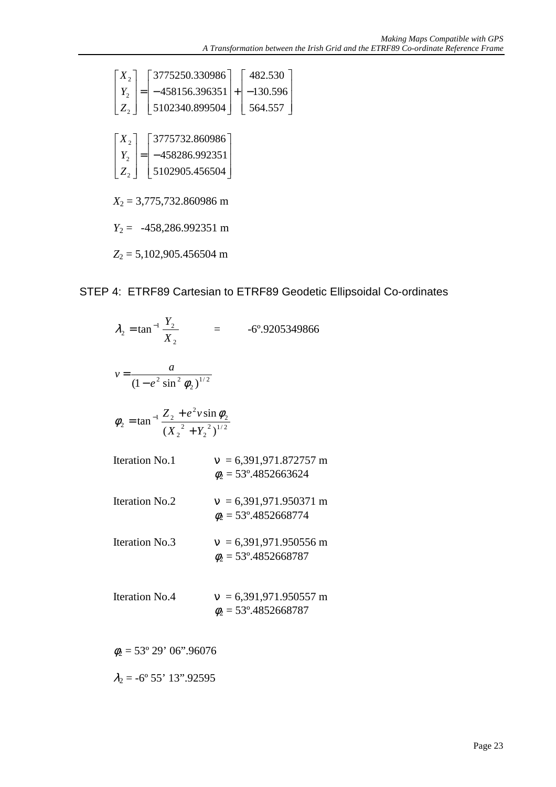<span id="page-24-0"></span>
$$
\begin{bmatrix} X_2 \ Y_2 \ Z_2 \end{bmatrix} = \begin{bmatrix} 3775250.330986 \ -458156.396351 \ 5102340.899504 \end{bmatrix} + \begin{bmatrix} 482.530 \ -130.596 \ 564.557 \end{bmatrix}
$$
  
\n
$$
\begin{bmatrix} X_2 \ Y_2 \ Z_2 \end{bmatrix} = \begin{bmatrix} 3775732.860986 \ -458286.992351 \ 5102905.456504 \end{bmatrix}
$$
  
\n
$$
X_2 = 3,775,732.860986 \text{ m}
$$
  
\n
$$
Y_2 = -458,286.992351 \text{ m}
$$
  
\n
$$
Z_2 = 5,102,905.456504 \text{ m}
$$

#### STEP 4: ETRF89 Cartesian to ETRF89 Geodetic Ellipsoidal Co-ordinates

 $\overline{\phantom{a}}$  $\overline{\phantom{a}}$  $\overline{\phantom{a}}$ 

| $\lambda_2 = \tan^{-1} \frac{Y_2}{X_2}$                                    | -6°.9205349866                                                |
|----------------------------------------------------------------------------|---------------------------------------------------------------|
| $v = \frac{a}{(1 - e^2 \sin^2 \phi_2)^{1/2}}$                              |                                                               |
| $\phi_2 = \tan^{-1} \frac{Z_2 + e^2 v \sin \phi_2}{(X_2^2 + Y_2^2)^{1/2}}$ |                                                               |
| <b>Iteration No.1</b>                                                      | $v = 6,391,971.872757 \text{ m}$<br>$\phi_2$ = 53°.4852663624 |
| <b>Iteration No.2</b>                                                      | $v = 6,391,971.950371 \text{ m}$<br>$\phi_2$ = 53°.4852668774 |
| <b>Iteration No.3</b>                                                      | $v = 6,391,971.950556$ m<br>$\phi_2$ = 53°.4852668787         |
| <b>Iteration No.4</b>                                                      | $v = 6,391,971.950557$ m<br>$\phi_2$ = 53°.4852668787         |

 $\phi_2 = 53^\circ 29' 06''.96076$ 

 $\lambda_2 = -6^\circ 55' 13''.92595$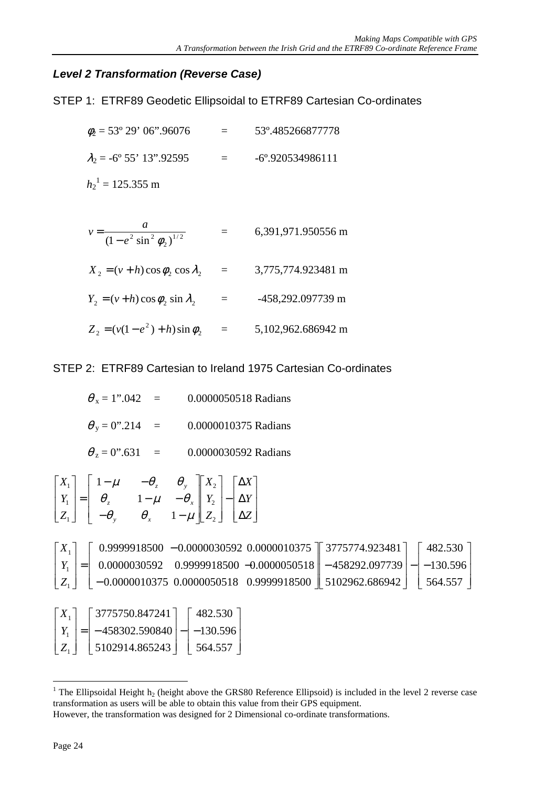#### <span id="page-25-0"></span>*Level 2 Transformation (Reverse Case)*

STEP 1: ETRF89 Geodetic Ellipsoidal to ETRF89 Cartesian Co-ordinates

 $\phi_2 = 53^\circ 29' 06''.96076 = 53^\circ.485266877778$  $\lambda_2$  = -6° 55' 13".92595 = -6°.920534986111  $h_2$ <sup>1</sup> = 125.355 m

$$
v = \frac{a}{(1 - e^2 \sin^2 \phi_2)^{1/2}} = 6,391,971.950556 \text{ m}
$$
  

$$
X_2 = (v + h) \cos \phi_2 \cos \lambda_2 = 3,775,774.923481 \text{ m}
$$
  

$$
Y_2 = (v + h) \cos \phi_2 \sin \lambda_2 = -458,292.097739 \text{ m}
$$

2  $Z_2 = (v(1 - e^2) + h)\sin\phi_2 = 5,102,962.686942 \text{ m}$ 

STEP 2: ETRF89 Cartesian to Ireland 1975 Cartesian Co-ordinates

 $\theta_x = 1$ ".042 = 0.0000050518 Radians  $\theta_y = 0$ ".214 = 0.0000010375 Radians  $\theta_z = 0$ ".631 = 0.0000030592 Radians  $\overline{a}$ 

$$
\begin{bmatrix} X_1 \\ Y_1 \\ Z_1 \end{bmatrix} = \begin{bmatrix} 1 - \mu & -\theta_z & \theta_y \\ \theta_z & 1 - \mu & -\theta_x \\ -\theta_y & \theta_x & 1 - \mu \end{bmatrix} \begin{bmatrix} X_2 \\ Y_2 \\ Z_2 \end{bmatrix} - \begin{bmatrix} \Delta X \\ \Delta Y \\ \Delta Z \end{bmatrix}
$$

|  |  |  | $\lceil X_1 \rceil$ $\lceil 0.9999918500 - 0.0000030592 0.0000010375 \rceil$ 3775774.923481 $\lceil 482.530 \rceil$                         |  |
|--|--|--|---------------------------------------------------------------------------------------------------------------------------------------------|--|
|  |  |  | $\begin{vmatrix} Y_1 \end{vmatrix} = \begin{vmatrix} 0.0000030592 & 0.9999918500 & -0.0000050518 & -458292.097739 & -1.30596 \end{vmatrix}$ |  |
|  |  |  | $\mid Z_1 \mid$ $\mid$ -0.0000010375 0.0000050518 0.9999918500 $\mid$ 5102962.686942 $\mid$ 564.557 $\mid$                                  |  |

| $ X_1 $   | $\lceil 3775750.847241 \rceil$          | $482.530$ ] |
|-----------|-----------------------------------------|-------------|
|           | $ Y_1  =  -458302.590840  -  -130.596 $ |             |
| $ Z_{1} $ | 5102914.865243                          | 564.557     |

<sup>&</sup>lt;sup>1</sup> The Ellipsoidal Height  $h_2$  (height above the GRS80 Reference Ellipsoid) is included in the level 2 reverse case transformation as users will be able to obtain this value from their GPS equipment.

 $\overline{a}$ 

However, the transformation was designed for 2 Dimensional co-ordinate transformations.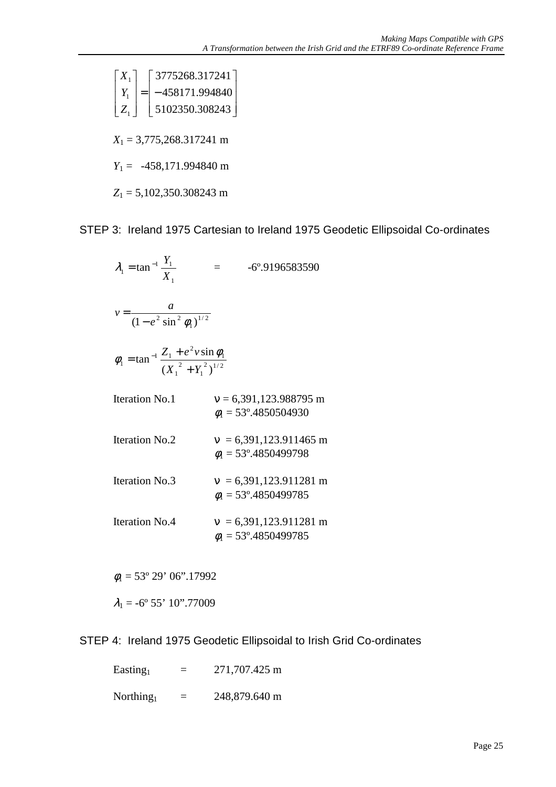<span id="page-26-0"></span> $\overline{\phantom{a}}$  $\overline{\phantom{a}}$  $\overline{\phantom{a}}$  $\rfloor$ ן L  $\mathbf{r}$  $\mathbf{r}$ L Γ = −  $\overline{\phantom{a}}$  $\overline{\phantom{a}}$  $\overline{\phantom{a}}$  $\rfloor$ 1 L  $\mathbf{r}$  $\mathbf{r}$ L Γ 5102350.308243 458171.994840 3775268.317241 1 1 1 *Z Y X*

*X*1 = 3,775,268.317241 m

*Y*1 = -458,171.994840 m

*Z*1 = 5,102,350.308243 m

STEP 3: Ireland 1975 Cartesian to Ireland 1975 Geodetic Ellipsoidal Co-ordinates

1  $t_1 = \tan^{-1} \frac{I_1}{X_1}$  $\lambda_1 = \tan^{-1} \frac{Y_1}{Y_1}$  = -6°.9196583590 1/ 2  $(1 - e^2 \sin^2 \phi_1)$  $v = \frac{a}{(1 - e^2 \sin^2 \theta)}$  $2\sqrt{1/2}$ 1 2 1 1 2  $_1$   $\epsilon_1$  $(X_1^2 + Y_1^2)$ sin tan  $X_1^2 + Y$  $Z_1 + e^2 v$ +  $\phi_1 = \tan^{-1} \frac{Z_1 + e^2 v \sin \phi_1}{2}$ Iteration No.1  $v = 6,391,123.988795 \text{ m}$  $\phi$ <sub>1</sub> = 53°.4850504930

- Iteration No.2  $v = 6,391,123.911465 \text{ m}$  $\phi_1 = 53^\circ.4850499798$
- Iteration No.3  $v = 6,391,123.911281 \text{ m}$  $\phi$ <sub>1</sub> = 53°.4850499785

Iteration No.4  $v = 6,391,123.911281 \text{ m}$  $\phi$ <sub>1</sub> = 53°.4850499785

 $\phi_1 = 53^\circ 29' 06''.17992$ 

 $\lambda_1 = -6^\circ 55' 10''$ .77009

STEP 4: Ireland 1975 Geodetic Ellipsoidal to Irish Grid Co-ordinates

| Easting  | $=$      | 271,707.425 m |
|----------|----------|---------------|
| Northing | $\equiv$ | 248,879.640 m |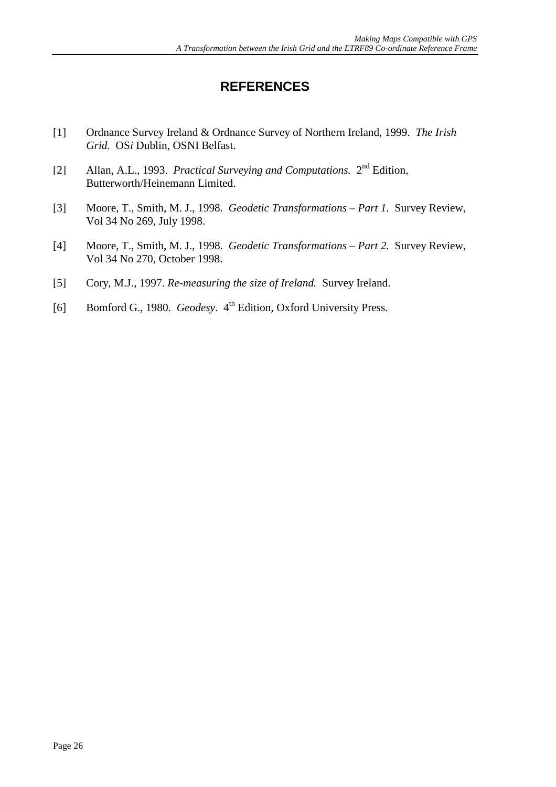## **REFERENCES**

- <span id="page-27-0"></span>[1] Ordnance Survey Ireland & Ordnance Survey of Northern Ireland, 1999. *The Irish Grid.* OS*i* Dublin, OSNI Belfast.
- [2] Allan, A.L., 1993. *Practical Surveying and Computations.* 2nd Edition, Butterworth/Heinemann Limited.
- [3] Moore, T., Smith, M. J., 1998. *Geodetic Transformations Part 1.* Survey Review, Vol 34 No 269, July 1998.
- [4] Moore, T., Smith, M. J., 1998. *Geodetic Transformations Part 2.* Survey Review, Vol 34 No 270, October 1998.
- [5] Cory, M.J., 1997. *Re-measuring the size of Ireland.* Survey Ireland.
- [6] Bomford G., 1980. *Geodesy*. 4<sup>th</sup> Edition, Oxford University Press.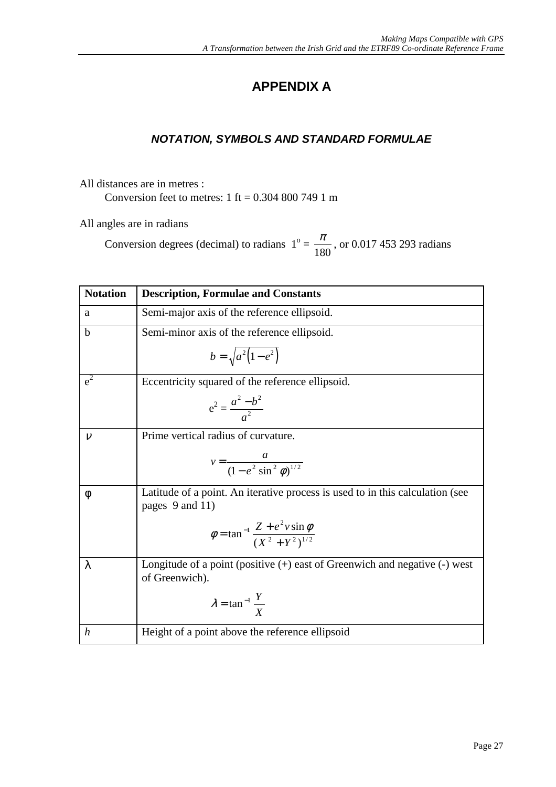## **APPENDIX A**

## *NOTATION, SYMBOLS AND STANDARD FORMULAE*

<span id="page-28-0"></span>All distances are in metres : Conversion feet to metres:  $1 \text{ ft} = 0.304\text{ }800\text{ }749\text{ }1\text{ m}$ 

All angles are in radians

Conversion degrees (decimal) to radians  $1^\circ = \frac{\pi}{180}$ , or 0.017 453 293 radians

| <b>Notation</b>  | <b>Description, Formulae and Constants</b>                                                       |
|------------------|--------------------------------------------------------------------------------------------------|
| a                | Semi-major axis of the reference ellipsoid.                                                      |
| $\mathbf b$      | Semi-minor axis of the reference ellipsoid.                                                      |
|                  | $b = \sqrt{a^2(1-e^2)}$                                                                          |
| $e^2$            | Eccentricity squared of the reference ellipsoid.                                                 |
|                  | $e^2 = \frac{a^2 - b^2}{a^2}$                                                                    |
| $\mathcal V$     | Prime vertical radius of curvature.                                                              |
|                  | $v = \frac{a}{(1 - e^2 \sin^2 \phi)^{1/2}}$                                                      |
| $\phi$           | Latitude of a point. An iterative process is used to in this calculation (see<br>pages 9 and 11) |
|                  | $\phi = \tan^{-1} \frac{Z + e^2 v \sin \phi}{(Y^2 + Y^2)^{1/2}}$                                 |
| $\lambda$        | Longitude of a point (positive $(+)$ east of Greenwich and negative $(-)$ west<br>of Greenwich). |
|                  | $\lambda = \tan^{-1} \frac{Y}{X}$                                                                |
| $\boldsymbol{h}$ | Height of a point above the reference ellipsoid                                                  |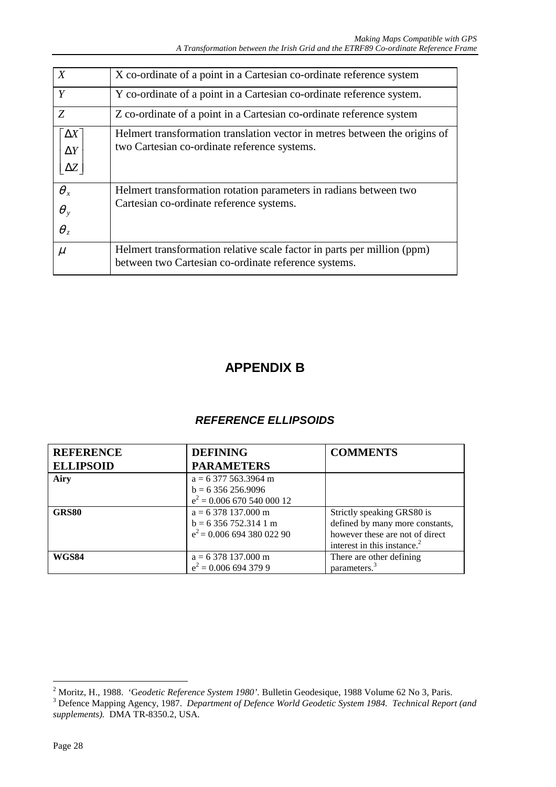<span id="page-29-0"></span>

| X                                        | X co-ordinate of a point in a Cartesian co-ordinate reference system                                                            |  |
|------------------------------------------|---------------------------------------------------------------------------------------------------------------------------------|--|
| Y                                        | Y co-ordinate of a point in a Cartesian co-ordinate reference system.                                                           |  |
| Z                                        | Z co-ordinate of a point in a Cartesian co-ordinate reference system                                                            |  |
| $\Delta X$ ]<br>$\Delta Y$<br>$\Delta Z$ | Helmert transformation translation vector in metres between the origins of<br>two Cartesian co-ordinate reference systems.      |  |
| $\theta_x$<br>$\theta_y$<br>$\theta_z$   | Helmert transformation rotation parameters in radians between two<br>Cartesian co-ordinate reference systems.                   |  |
| $\mu$                                    | Helmert transformation relative scale factor in parts per million (ppm)<br>between two Cartesian co-ordinate reference systems. |  |

## **APPENDIX B**

#### *REFERENCE ELLIPSOIDS*

| <b>REFERENCE</b> | <b>DEFINING</b>                                                                     | <b>COMMENTS</b>                                                                                                                             |
|------------------|-------------------------------------------------------------------------------------|---------------------------------------------------------------------------------------------------------------------------------------------|
| <b>ELLIPSOID</b> | <b>PARAMETERS</b>                                                                   |                                                                                                                                             |
| Airy             | $a = 6377563.3964$ m<br>$b = 6356256.9096$<br>$e^2$ = 0.006 670 540 000 12          |                                                                                                                                             |
| GRS80            | $a = 6378137.000 \text{ m}$<br>$b = 6356752.3141$ m<br>$e^2$ = 0.006 694 380 022 90 | Strictly speaking GRS80 is<br>defined by many more constants,<br>however these are not of direct<br>interest in this instance. <sup>2</sup> |
| <b>WGS84</b>     | $a = 6378137.000$ m<br>$e^2$ = 0.006 694 379 9                                      | There are other defining<br>parameters. <sup>3</sup>                                                                                        |

<sup>&</sup>lt;sup>2</sup> Moritz, H., 1988. *'Geodetic Reference System 1980'*. Bulletin Geodesique, 1988 Volume 62 No 3, Paris.<br><sup>3</sup> Defence Mapping Agency, 1987. *Department of Defence World Geodetic System 1984. Technical Report (and* 

*supplements).* DMA TR-8350.2, USA.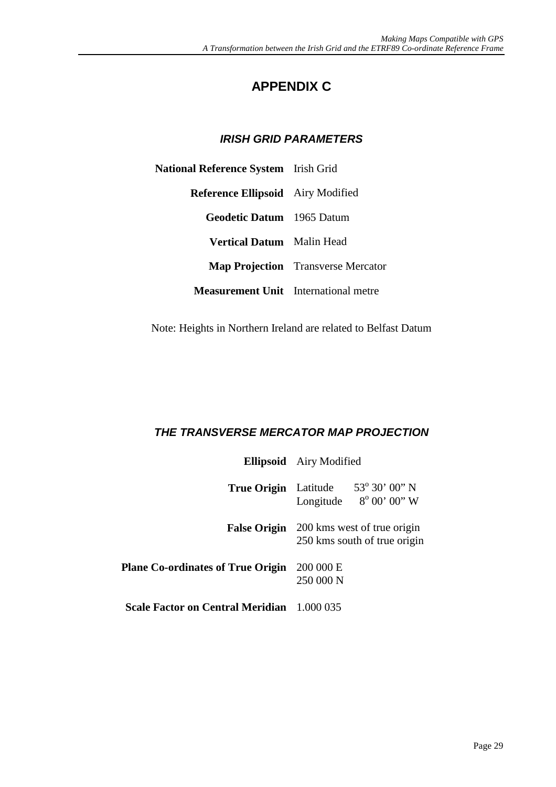## **APPENDIX C**

#### *IRISH GRID PARAMETERS*

<span id="page-30-0"></span>

| <b>National Reference System</b> Irish Grid |                                           |
|---------------------------------------------|-------------------------------------------|
| <b>Reference Ellipsoid</b> Airy Modified    |                                           |
| <b>Geodetic Datum</b> 1965 Datum            |                                           |
| <b>Vertical Datum</b> Malin Head            |                                           |
|                                             | <b>Map Projection</b> Transverse Mercator |
| <b>Measurement Unit</b> International metre |                                           |

Note: Heights in Northern Ireland are related to Belfast Datum

### *THE TRANSVERSE MERCATOR MAP PROJECTION*

|                                                   | <b>Ellipsoid</b> Airy Modified                                                  |                                                            |
|---------------------------------------------------|---------------------------------------------------------------------------------|------------------------------------------------------------|
| <b>True Origin</b> Latitude                       |                                                                                 | $53^{\circ} 30' 00'' N$<br>Longitude $8^{\circ}$ 00' 00" W |
|                                                   | <b>False Origin</b> 200 kms west of true origin<br>250 kms south of true origin |                                                            |
| <b>Plane Co-ordinates of True Origin</b>          | 200 000 E<br>250 000 N                                                          |                                                            |
| <b>Scale Factor on Central Meridian</b> 1.000 035 |                                                                                 |                                                            |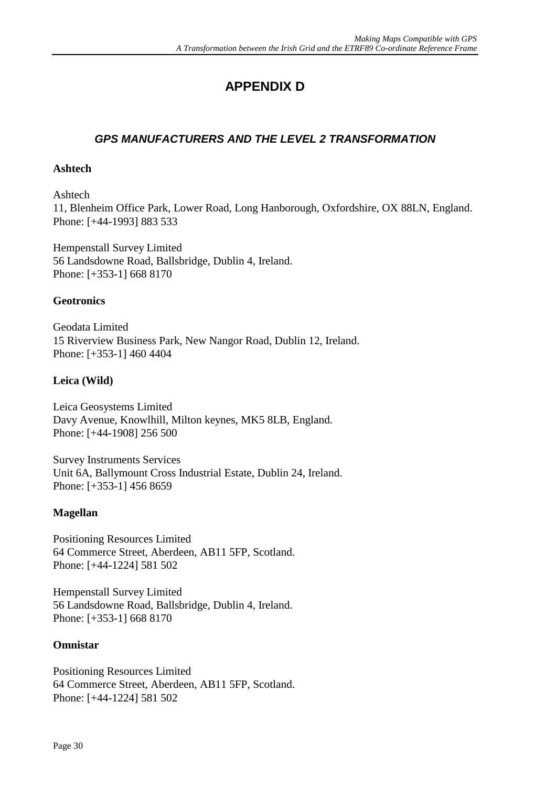# **APPENDIX D**

#### <span id="page-31-0"></span>*GPS MANUFACTURERS AND THE LEVEL 2 TRANSFORMATION*

#### **Ashtech**

Ashtech 11, Blenheim Office Park, Lower Road, Long Hanborough, Oxfordshire, OX 88LN, England. Phone: [+44-1993] 883 533

Hempenstall Survey Limited 56 Landsdowne Road, Ballsbridge, Dublin 4, Ireland. Phone: [+353-1] 668 8170

#### **Geotronics**

Geodata Limited 15 Riverview Business Park, New Nangor Road, Dublin 12, Ireland. Phone: [+353-1] 460 4404

#### **Leica (Wild)**

Leica Geosystems Limited Davy Avenue, Knowlhill, Milton keynes, MK5 8LB, England. Phone: [+44-1908] 256 500

Survey Instruments Services Unit 6A, Ballymount Cross Industrial Estate, Dublin 24, Ireland. Phone: [+353-1] 456 8659

#### **Magellan**

Positioning Resources Limited 64 Commerce Street, Aberdeen, AB11 5FP, Scotland. Phone: [+44-1224] 581 502

Hempenstall Survey Limited 56 Landsdowne Road, Ballsbridge, Dublin 4, Ireland. Phone: [+353-1] 668 8170

#### **Omnistar**

Positioning Resources Limited 64 Commerce Street, Aberdeen, AB11 5FP, Scotland. Phone: [+44-1224] 581 502